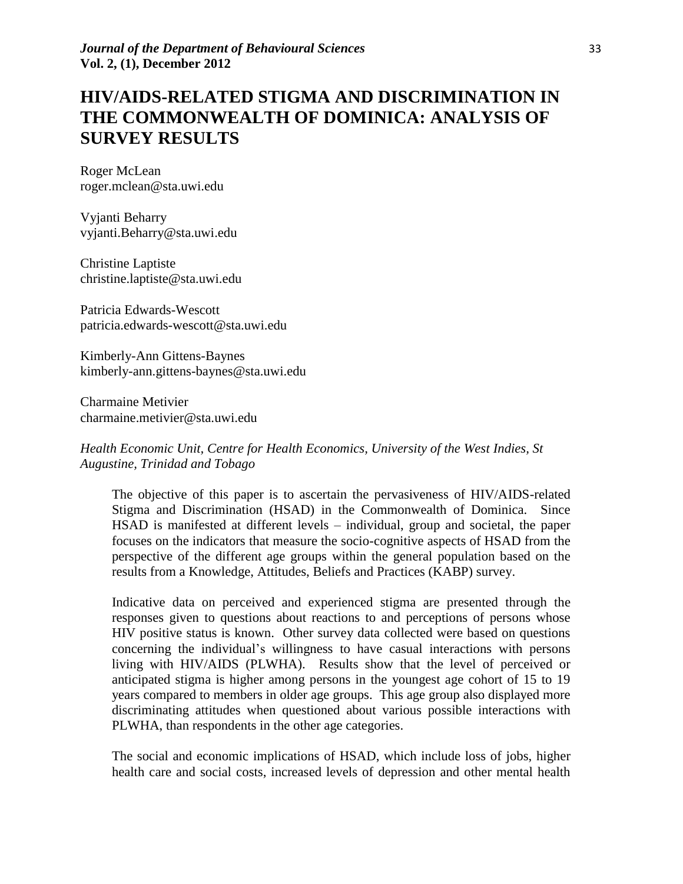# **HIV/AIDS-RELATED STIGMA AND DISCRIMINATION IN THE COMMONWEALTH OF DOMINICA: ANALYSIS OF SURVEY RESULTS**

Roger McLean roger.mclean@sta.uwi.edu

Vyjanti Beharry vyjanti.Beharry@sta.uwi.edu

Christine Laptiste christine.laptiste@sta.uwi.edu

Patricia Edwards-Wescott patricia.edwards-wescott@sta.uwi.edu

Kimberly-Ann Gittens-Baynes kimberly-ann.gittens-baynes@sta.uwi.edu

Charmaine Metivier charmaine.metivier@sta.uwi.edu

*Health Economic Unit, Centre for Health Economics, University of the West Indies, St Augustine, Trinidad and Tobago*

The objective of this paper is to ascertain the pervasiveness of HIV/AIDS-related Stigma and Discrimination (HSAD) in the Commonwealth of Dominica. Since HSAD is manifested at different levels – individual, group and societal, the paper focuses on the indicators that measure the socio-cognitive aspects of HSAD from the perspective of the different age groups within the general population based on the results from a Knowledge, Attitudes, Beliefs and Practices (KABP) survey.

Indicative data on perceived and experienced stigma are presented through the responses given to questions about reactions to and perceptions of persons whose HIV positive status is known. Other survey data collected were based on questions concerning the individual's willingness to have casual interactions with persons living with HIV/AIDS (PLWHA). Results show that the level of perceived or anticipated stigma is higher among persons in the youngest age cohort of 15 to 19 years compared to members in older age groups. This age group also displayed more discriminating attitudes when questioned about various possible interactions with PLWHA, than respondents in the other age categories.

The social and economic implications of HSAD, which include loss of jobs, higher health care and social costs, increased levels of depression and other mental health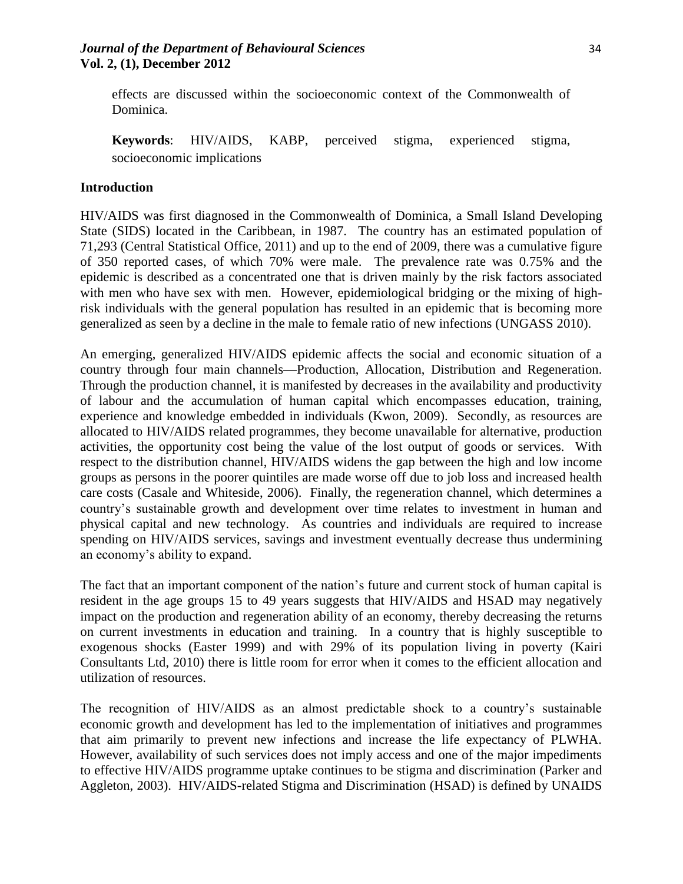# *Journal of the Department of Behavioural Sciences* 34 **Vol. 2, (1), December 2012**

effects are discussed within the socioeconomic context of the Commonwealth of Dominica.

**Keywords**: HIV/AIDS, KABP, perceived stigma, experienced stigma, socioeconomic implications

## **Introduction**

HIV/AIDS was first diagnosed in the Commonwealth of Dominica, a Small Island Developing State (SIDS) located in the Caribbean, in 1987. The country has an estimated population of 71,293 (Central Statistical Office, 2011) and up to the end of 2009, there was a cumulative figure of 350 reported cases, of which 70% were male. The prevalence rate was 0.75% and the epidemic is described as a concentrated one that is driven mainly by the risk factors associated with men who have sex with men. However, epidemiological bridging or the mixing of highrisk individuals with the general population has resulted in an epidemic that is becoming more generalized as seen by a decline in the male to female ratio of new infections (UNGASS 2010).

An emerging, generalized HIV/AIDS epidemic affects the social and economic situation of a country through four main channels—Production, Allocation, Distribution and Regeneration. Through the production channel, it is manifested by decreases in the availability and productivity of labour and the accumulation of human capital which encompasses education, training, experience and knowledge embedded in individuals (Kwon, 2009). Secondly, as resources are allocated to HIV/AIDS related programmes, they become unavailable for alternative, production activities, the opportunity cost being the value of the lost output of goods or services. With respect to the distribution channel, HIV/AIDS widens the gap between the high and low income groups as persons in the poorer quintiles are made worse off due to job loss and increased health care costs (Casale and Whiteside, 2006). Finally, the regeneration channel, which determines a country's sustainable growth and development over time relates to investment in human and physical capital and new technology. As countries and individuals are required to increase spending on HIV/AIDS services, savings and investment eventually decrease thus undermining an economy's ability to expand.

The fact that an important component of the nation's future and current stock of human capital is resident in the age groups 15 to 49 years suggests that HIV/AIDS and HSAD may negatively impact on the production and regeneration ability of an economy, thereby decreasing the returns on current investments in education and training. In a country that is highly susceptible to exogenous shocks (Easter 1999) and with 29% of its population living in poverty (Kairi Consultants Ltd, 2010) there is little room for error when it comes to the efficient allocation and utilization of resources.

The recognition of HIV/AIDS as an almost predictable shock to a country's sustainable economic growth and development has led to the implementation of initiatives and programmes that aim primarily to prevent new infections and increase the life expectancy of PLWHA. However, availability of such services does not imply access and one of the major impediments to effective HIV/AIDS programme uptake continues to be stigma and discrimination (Parker and Aggleton, 2003). HIV/AIDS-related Stigma and Discrimination (HSAD) is defined by UNAIDS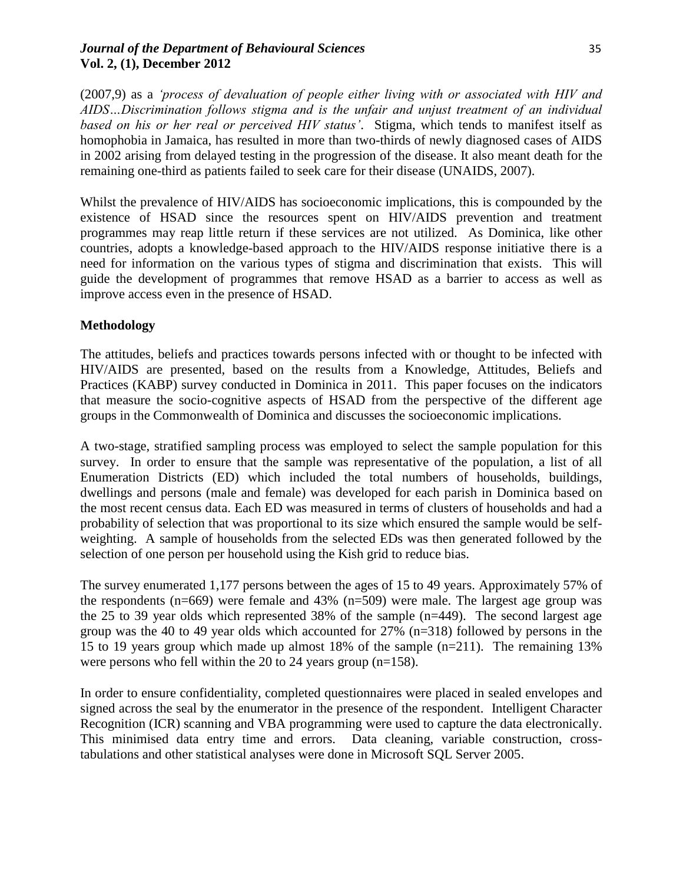# *Journal of the Department of Behavioural Sciences* 35 **Vol. 2, (1), December 2012**

(2007,9) as a *'process of devaluation of people either living with or associated with HIV and AIDS…Discrimination follows stigma and is the unfair and unjust treatment of an individual based on his or her real or perceived HIV status'*. Stigma, which tends to manifest itself as homophobia in Jamaica, has resulted in more than two-thirds of newly diagnosed cases of AIDS in 2002 arising from delayed testing in the progression of the disease. It also meant death for the remaining one-third as patients failed to seek care for their disease (UNAIDS, 2007).

Whilst the prevalence of HIV/AIDS has socioeconomic implications, this is compounded by the existence of HSAD since the resources spent on HIV/AIDS prevention and treatment programmes may reap little return if these services are not utilized. As Dominica, like other countries, adopts a knowledge-based approach to the HIV/AIDS response initiative there is a need for information on the various types of stigma and discrimination that exists. This will guide the development of programmes that remove HSAD as a barrier to access as well as improve access even in the presence of HSAD.

# **Methodology**

The attitudes, beliefs and practices towards persons infected with or thought to be infected with HIV/AIDS are presented, based on the results from a Knowledge, Attitudes, Beliefs and Practices (KABP) survey conducted in Dominica in 2011. This paper focuses on the indicators that measure the socio-cognitive aspects of HSAD from the perspective of the different age groups in the Commonwealth of Dominica and discusses the socioeconomic implications.

A two-stage, stratified sampling process was employed to select the sample population for this survey. In order to ensure that the sample was representative of the population, a list of all Enumeration Districts (ED) which included the total numbers of households, buildings, dwellings and persons (male and female) was developed for each parish in Dominica based on the most recent census data. Each ED was measured in terms of clusters of households and had a probability of selection that was proportional to its size which ensured the sample would be selfweighting. A sample of households from the selected EDs was then generated followed by the selection of one person per household using the Kish grid to reduce bias.

The survey enumerated 1,177 persons between the ages of 15 to 49 years. Approximately 57% of the respondents ( $n=669$ ) were female and 43% ( $n=509$ ) were male. The largest age group was the 25 to 39 year olds which represented 38% of the sample (n=449). The second largest age group was the 40 to 49 year olds which accounted for 27% (n=318) followed by persons in the 15 to 19 years group which made up almost 18% of the sample (n=211). The remaining 13% were persons who fell within the 20 to 24 years group (n=158).

In order to ensure confidentiality, completed questionnaires were placed in sealed envelopes and signed across the seal by the enumerator in the presence of the respondent. Intelligent Character Recognition (ICR) scanning and VBA programming were used to capture the data electronically. This minimised data entry time and errors. Data cleaning, variable construction, crosstabulations and other statistical analyses were done in Microsoft SQL Server 2005.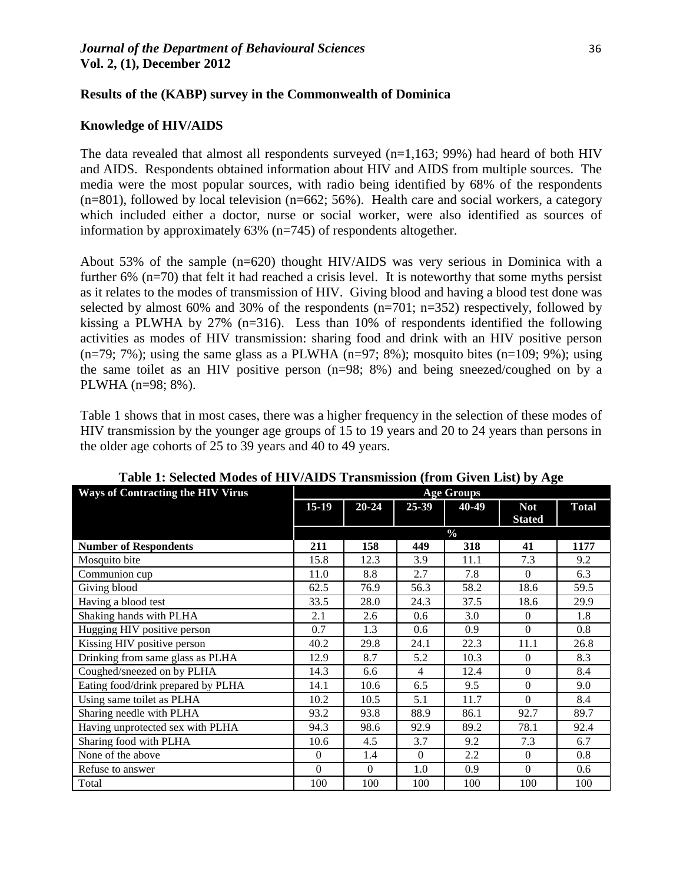## **Results of the (KABP) survey in the Commonwealth of Dominica**

#### **Knowledge of HIV/AIDS**

The data revealed that almost all respondents surveyed  $(n=1,163; 99%)$  had heard of both HIV and AIDS. Respondents obtained information about HIV and AIDS from multiple sources. The media were the most popular sources, with radio being identified by 68% of the respondents  $(n=801)$ , followed by local television  $(n=662; 56%)$ . Health care and social workers, a category which included either a doctor, nurse or social worker, were also identified as sources of information by approximately 63% (n=745) of respondents altogether.

About 53% of the sample (n=620) thought HIV/AIDS was very serious in Dominica with a further 6% (n=70) that felt it had reached a crisis level. It is noteworthy that some myths persist as it relates to the modes of transmission of HIV. Giving blood and having a blood test done was selected by almost 60% and 30% of the respondents  $(n=701; n=352)$  respectively, followed by kissing a PLWHA by 27% (n=316). Less than 10% of respondents identified the following activities as modes of HIV transmission: sharing food and drink with an HIV positive person (n=79; 7%); using the same glass as a PLWHA (n=97; 8%); mosquito bites (n=109; 9%); using the same toilet as an HIV positive person (n=98; 8%) and being sneezed/coughed on by a PLWHA (n=98; 8%).

Table 1 shows that in most cases, there was a higher frequency in the selection of these modes of HIV transmission by the younger age groups of 15 to 19 years and 20 to 24 years than persons in the older age cohorts of 25 to 39 years and 40 to 49 years.

| <b>Ways of Contracting the HIV Virus</b> | <b>Age Groups</b> |           |          |               |                |              |
|------------------------------------------|-------------------|-----------|----------|---------------|----------------|--------------|
|                                          | $15-19$           | $20 - 24$ | $25-39$  | 40-49         | <b>Not</b>     | <b>Total</b> |
|                                          |                   |           |          |               | <b>Stated</b>  |              |
|                                          |                   |           |          | $\frac{6}{9}$ |                |              |
| <b>Number of Respondents</b>             | 211               | 158       | 449      | 318           | 41             | 1177         |
| Mosquito bite                            | 15.8              | 12.3      | 3.9      | 11.1          | 7.3            | 9.2          |
| Communion cup                            | 11.0              | 8.8       | 2.7      | 7.8           | $\Omega$       | 6.3          |
| Giving blood                             | 62.5              | 76.9      | 56.3     | 58.2          | 18.6           | 59.5         |
| Having a blood test                      | 33.5              | 28.0      | 24.3     | 37.5          | 18.6           | 29.9         |
| Shaking hands with PLHA                  | 2.1               | 2.6       | 0.6      | 3.0           | $\Omega$       | 1.8          |
| Hugging HIV positive person              | 0.7               | 1.3       | 0.6      | 0.9           | $\Omega$       | 0.8          |
| Kissing HIV positive person              | 40.2              | 29.8      | 24.1     | 22.3          | 11.1           | 26.8         |
| Drinking from same glass as PLHA         | 12.9              | 8.7       | 5.2      | 10.3          | $\Omega$       | 8.3          |
| Coughed/sneezed on by PLHA               | 14.3              | 6.6       | 4        | 12.4          | $\overline{0}$ | 8.4          |
| Eating food/drink prepared by PLHA       | 14.1              | 10.6      | 6.5      | 9.5           | $\overline{0}$ | 9.0          |
| Using same toilet as PLHA                | 10.2              | 10.5      | 5.1      | 11.7          | $\Omega$       | 8.4          |
| Sharing needle with PLHA                 | 93.2              | 93.8      | 88.9     | 86.1          | 92.7           | 89.7         |
| Having unprotected sex with PLHA         | 94.3              | 98.6      | 92.9     | 89.2          | 78.1           | 92.4         |
| Sharing food with PLHA                   | 10.6              | 4.5       | 3.7      | 9.2           | 7.3            | 6.7          |
| None of the above                        | $\Omega$          | 1.4       | $\theta$ | 2.2           | $\Omega$       | 0.8          |
| Refuse to answer                         | $\Omega$          | $\Omega$  | 1.0      | 0.9           | $\Omega$       | 0.6          |
| Total                                    | 100               | 100       | 100      | 100           | 100            | 100          |

**Table 1: Selected Modes of HIV/AIDS Transmission (from Given List) by Age**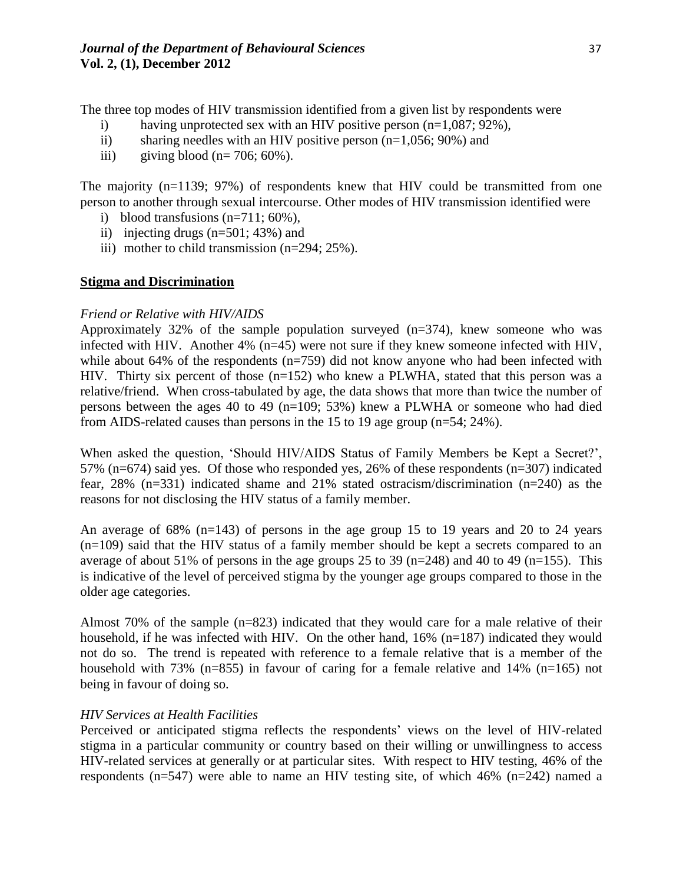The three top modes of HIV transmission identified from a given list by respondents were

- i) having unprotected sex with an HIV positive person  $(n=1,087; 92\%)$ ,
- ii) sharing needles with an HIV positive person  $(n=1,056; 90\%)$  and
- iii) giving blood  $(n=706; 60\%)$ .

The majority  $(n=1139; 97%)$  of respondents knew that HIV could be transmitted from one person to another through sexual intercourse. Other modes of HIV transmission identified were

- i) blood transfusions  $(n=711; 60\%)$ ,
- ii) injecting drugs (n=501; 43%) and
- iii) mother to child transmission (n=294; 25%).

## **Stigma and Discrimination**

## *Friend or Relative with HIV/AIDS*

Approximately 32% of the sample population surveyed (n=374), knew someone who was infected with HIV. Another 4% (n=45) were not sure if they knew someone infected with HIV, while about 64% of the respondents (n=759) did not know anyone who had been infected with HIV. Thirty six percent of those  $(n=152)$  who knew a PLWHA, stated that this person was a relative/friend. When cross-tabulated by age, the data shows that more than twice the number of persons between the ages 40 to 49 (n=109; 53%) knew a PLWHA or someone who had died from AIDS-related causes than persons in the 15 to 19 age group (n=54; 24%).

When asked the question, 'Should HIV/AIDS Status of Family Members be Kept a Secret?', 57% (n=674) said yes. Of those who responded yes, 26% of these respondents (n=307) indicated fear, 28% (n=331) indicated shame and 21% stated ostracism/discrimination (n=240) as the reasons for not disclosing the HIV status of a family member.

An average of 68% (n=143) of persons in the age group 15 to 19 years and 20 to 24 years (n=109) said that the HIV status of a family member should be kept a secrets compared to an average of about 51% of persons in the age groups 25 to 39 (n=248) and 40 to 49 (n=155). This is indicative of the level of perceived stigma by the younger age groups compared to those in the older age categories.

Almost 70% of the sample (n=823) indicated that they would care for a male relative of their household, if he was infected with HIV. On the other hand, 16% (n=187) indicated they would not do so. The trend is repeated with reference to a female relative that is a member of the household with 73% (n=855) in favour of caring for a female relative and 14% (n=165) not being in favour of doing so.

# *HIV Services at Health Facilities*

Perceived or anticipated stigma reflects the respondents' views on the level of HIV-related stigma in a particular community or country based on their willing or unwillingness to access HIV-related services at generally or at particular sites. With respect to HIV testing, 46% of the respondents (n=547) were able to name an HIV testing site, of which 46% (n=242) named a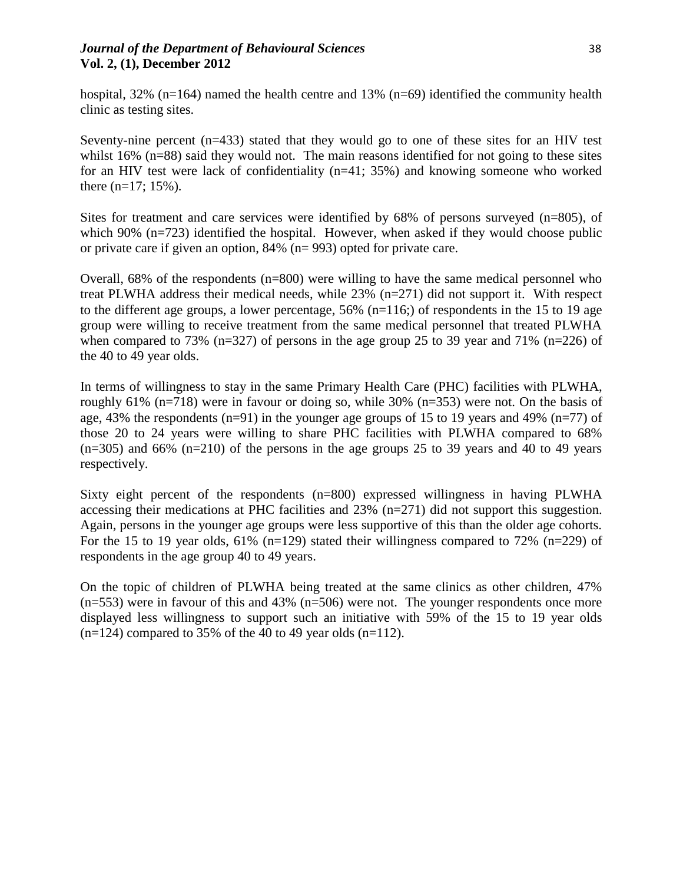# *Journal of the Department of Behavioural Sciences* 38 **Vol. 2, (1), December 2012**

hospital, 32% (n=164) named the health centre and 13% (n=69) identified the community health clinic as testing sites.

Seventy-nine percent  $(n=433)$  stated that they would go to one of these sites for an HIV test whilst 16% (n=88) said they would not. The main reasons identified for not going to these sites for an HIV test were lack of confidentiality (n=41; 35%) and knowing someone who worked there  $(n=17; 15\%)$ .

Sites for treatment and care services were identified by 68% of persons surveyed (n=805), of which 90% (n=723) identified the hospital. However, when asked if they would choose public or private care if given an option, 84% (n= 993) opted for private care.

Overall, 68% of the respondents (n=800) were willing to have the same medical personnel who treat PLWHA address their medical needs, while 23% (n=271) did not support it. With respect to the different age groups, a lower percentage,  $56\%$  (n=116;) of respondents in the 15 to 19 age group were willing to receive treatment from the same medical personnel that treated PLWHA when compared to 73% ( $n=327$ ) of persons in the age group 25 to 39 year and 71% ( $n=226$ ) of the 40 to 49 year olds.

In terms of willingness to stay in the same Primary Health Care (PHC) facilities with PLWHA, roughly 61% (n=718) were in favour or doing so, while 30% (n=353) were not. On the basis of age, 43% the respondents (n=91) in the younger age groups of 15 to 19 years and 49% (n=77) of those 20 to 24 years were willing to share PHC facilities with PLWHA compared to 68%  $(n=305)$  and 66%  $(n=210)$  of the persons in the age groups 25 to 39 years and 40 to 49 years respectively.

Sixty eight percent of the respondents (n=800) expressed willingness in having PLWHA accessing their medications at PHC facilities and 23% (n=271) did not support this suggestion. Again, persons in the younger age groups were less supportive of this than the older age cohorts. For the 15 to 19 year olds,  $61\%$  (n=129) stated their willingness compared to 72% (n=229) of respondents in the age group 40 to 49 years.

On the topic of children of PLWHA being treated at the same clinics as other children, 47%  $(n=553)$  were in favour of this and 43%  $(n=506)$  were not. The younger respondents once more displayed less willingness to support such an initiative with 59% of the 15 to 19 year olds  $(n=124)$  compared to 35% of the 40 to 49 year olds  $(n=112)$ .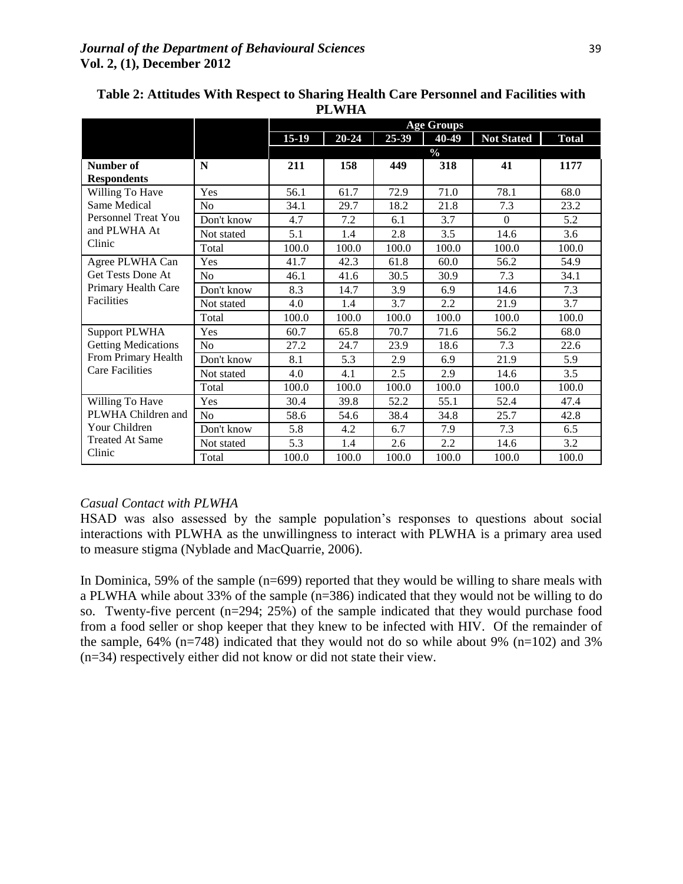|                                                                                                     |                | <b>Age Groups</b> |           |       |       |                   |              |  |  |
|-----------------------------------------------------------------------------------------------------|----------------|-------------------|-----------|-------|-------|-------------------|--------------|--|--|
|                                                                                                     |                | $15-19$           | $20 - 24$ | 25-39 | 40-49 | <b>Not Stated</b> | <b>Total</b> |  |  |
|                                                                                                     |                | $\frac{0}{0}$     |           |       |       |                   |              |  |  |
| Number of                                                                                           | N              | 211               | 158       | 449   | 318   | 41                | 1177         |  |  |
| <b>Respondents</b>                                                                                  |                |                   |           |       |       |                   |              |  |  |
| Willing To Have                                                                                     | Yes            | 56.1              | 61.7      | 72.9  | 71.0  | 78.1              | 68.0         |  |  |
| Same Medical                                                                                        | No             | 34.1              | 29.7      | 18.2  | 21.8  | 7.3               | 23.2         |  |  |
| <b>Personnel Treat You</b>                                                                          | Don't know     | 4.7               | 7.2       | 6.1   | 3.7   | $\Omega$          | 5.2          |  |  |
| and PLWHA At                                                                                        | Not stated     | 5.1               | 1.4       | 2.8   | 3.5   | 14.6              | 3.6          |  |  |
| Clinic                                                                                              | Total          | 100.0             | 100.0     | 100.0 | 100.0 | 100.0             | 100.0        |  |  |
| Agree PLWHA Can                                                                                     | Yes            | 41.7              | 42.3      | 61.8  | 60.0  | 56.2              | 54.9         |  |  |
| <b>Get Tests Done At</b>                                                                            | N <sub>o</sub> | 46.1              | 41.6      | 30.5  | 30.9  | 7.3               | 34.1         |  |  |
| Primary Health Care<br><b>Facilities</b>                                                            | Don't know     | 8.3               | 14.7      | 3.9   | 6.9   | 14.6              | 7.3          |  |  |
|                                                                                                     | Not stated     | 4.0               | 1.4       | 3.7   | 2.2   | 21.9              | 3.7          |  |  |
|                                                                                                     | Total          | 100.0             | 100.0     | 100.0 | 100.0 | 100.0             | 100.0        |  |  |
| <b>Support PLWHA</b><br><b>Getting Medications</b><br>From Primary Health<br><b>Care Facilities</b> | Yes            | 60.7              | 65.8      | 70.7  | 71.6  | 56.2              | 68.0         |  |  |
|                                                                                                     | N <sub>o</sub> | 27.2              | 24.7      | 23.9  | 18.6  | 7.3               | 22.6         |  |  |
|                                                                                                     | Don't know     | 8.1               | 5.3       | 2.9   | 6.9   | 21.9              | 5.9          |  |  |
|                                                                                                     | Not stated     | 4.0               | 4.1       | 2.5   | 2.9   | 14.6              | 3.5          |  |  |
|                                                                                                     | Total          | 100.0             | 100.0     | 100.0 | 100.0 | 100.0             | 100.0        |  |  |
| Willing To Have<br>PLWHA Children and<br>Your Children<br><b>Treated At Same</b><br>Clinic          | Yes            | 30.4              | 39.8      | 52.2  | 55.1  | 52.4              | 47.4         |  |  |
|                                                                                                     | N <sub>0</sub> | 58.6              | 54.6      | 38.4  | 34.8  | 25.7              | 42.8         |  |  |
|                                                                                                     | Don't know     | 5.8               | 4.2       | 6.7   | 7.9   | 7.3               | 6.5          |  |  |
|                                                                                                     | Not stated     | 5.3               | 1.4       | 2.6   | 2.2   | 14.6              | 3.2          |  |  |
|                                                                                                     | Total          | 100.0             | 100.0     | 100.0 | 100.0 | 100.0             | 100.0        |  |  |

# **Table 2: Attitudes With Respect to Sharing Health Care Personnel and Facilities with PLWHA**

# *Casual Contact with PLWHA*

HSAD was also assessed by the sample population's responses to questions about social interactions with PLWHA as the unwillingness to interact with PLWHA is a primary area used to measure stigma (Nyblade and MacQuarrie, 2006).

In Dominica, 59% of the sample (n=699) reported that they would be willing to share meals with a PLWHA while about 33% of the sample (n=386) indicated that they would not be willing to do so. Twenty-five percent (n=294; 25%) of the sample indicated that they would purchase food from a food seller or shop keeper that they knew to be infected with HIV. Of the remainder of the sample,  $64\%$  (n=748) indicated that they would not do so while about 9% (n=102) and 3% (n=34) respectively either did not know or did not state their view.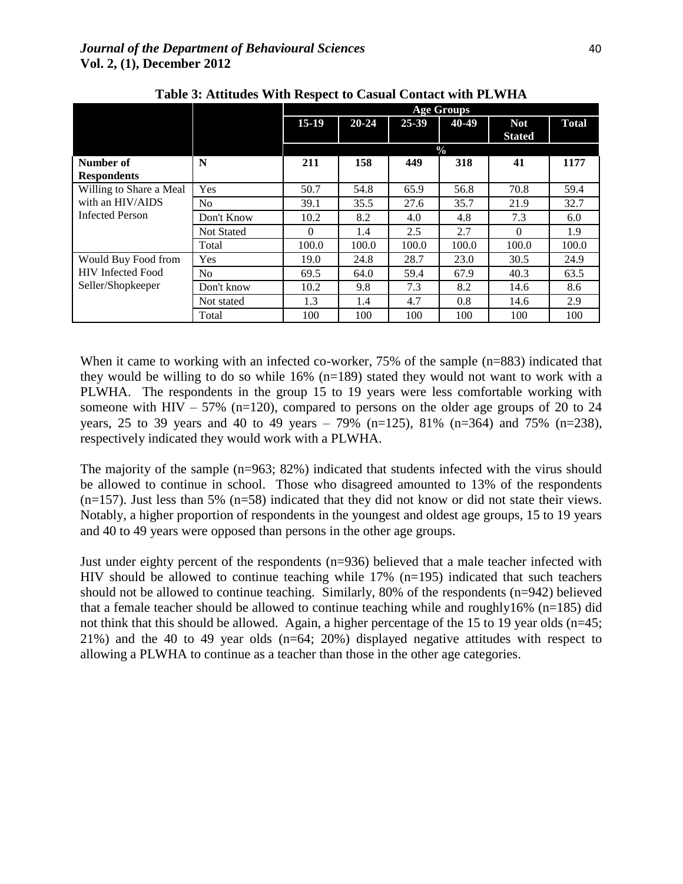|                                                                       |                   | <b>Age Groups</b> |           |       |       |                             |              |  |  |
|-----------------------------------------------------------------------|-------------------|-------------------|-----------|-------|-------|-----------------------------|--------------|--|--|
|                                                                       |                   | $15-19$           | $20 - 24$ | 25-39 | 40-49 | <b>Not</b><br><b>Stated</b> | <b>Total</b> |  |  |
|                                                                       |                   | $\frac{0}{0}$     |           |       |       |                             |              |  |  |
| Number of                                                             | N                 | 211               | 158       | 449   | 318   | 41                          | 1177         |  |  |
| <b>Respondents</b>                                                    |                   |                   |           |       |       |                             |              |  |  |
| Willing to Share a Meal<br>with an HIV/AIDS<br><b>Infected Person</b> | <b>Yes</b>        | 50.7              | 54.8      | 65.9  | 56.8  | 70.8                        | 59.4         |  |  |
|                                                                       | N <sub>o</sub>    | 39.1              | 35.5      | 27.6  | 35.7  | 21.9                        | 32.7         |  |  |
|                                                                       | Don't Know        | 10.2              | 8.2       | 4.0   | 4.8   | 7.3                         | 6.0          |  |  |
|                                                                       | <b>Not Stated</b> | $\Omega$          | 1.4       | 2.5   | 2.7   | $\Omega$                    | 1.9          |  |  |
|                                                                       | Total             | 100.0             | 100.0     | 100.0 | 100.0 | 100.0                       | 100.0        |  |  |
| Would Buy Food from<br><b>HIV</b> Infected Food<br>Seller/Shopkeeper  | Yes               | 19.0              | 24.8      | 28.7  | 23.0  | 30.5                        | 24.9         |  |  |
|                                                                       | N <sub>0</sub>    | 69.5              | 64.0      | 59.4  | 67.9  | 40.3                        | 63.5         |  |  |
|                                                                       | Don't know        | 10.2              | 9.8       | 7.3   | 8.2   | 14.6                        | 8.6          |  |  |
|                                                                       | Not stated        | 1.3               | 1.4       | 4.7   | 0.8   | 14.6                        | 2.9          |  |  |
|                                                                       | Total             | 100               | 100       | 100   | 100   | 100                         | 100          |  |  |

**Table 3: Attitudes With Respect to Casual Contact with PLWHA**

When it came to working with an infected co-worker, 75% of the sample (n=883) indicated that they would be willing to do so while 16% (n=189) stated they would not want to work with a PLWHA. The respondents in the group 15 to 19 years were less comfortable working with someone with HIV – 57% (n=120), compared to persons on the older age groups of 20 to 24 years, 25 to 39 years and 40 to 49 years – 79% (n=125), 81% (n=364) and 75% (n=238), respectively indicated they would work with a PLWHA.

The majority of the sample (n=963; 82%) indicated that students infected with the virus should be allowed to continue in school. Those who disagreed amounted to 13% of the respondents  $(n=157)$ . Just less than 5%  $(n=58)$  indicated that they did not know or did not state their views. Notably, a higher proportion of respondents in the youngest and oldest age groups, 15 to 19 years and 40 to 49 years were opposed than persons in the other age groups.

Just under eighty percent of the respondents (n=936) believed that a male teacher infected with HIV should be allowed to continue teaching while 17% (n=195) indicated that such teachers should not be allowed to continue teaching. Similarly, 80% of the respondents (n=942) believed that a female teacher should be allowed to continue teaching while and roughly16% (n=185) did not think that this should be allowed. Again, a higher percentage of the 15 to 19 year olds (n=45; 21%) and the 40 to 49 year olds (n=64; 20%) displayed negative attitudes with respect to allowing a PLWHA to continue as a teacher than those in the other age categories.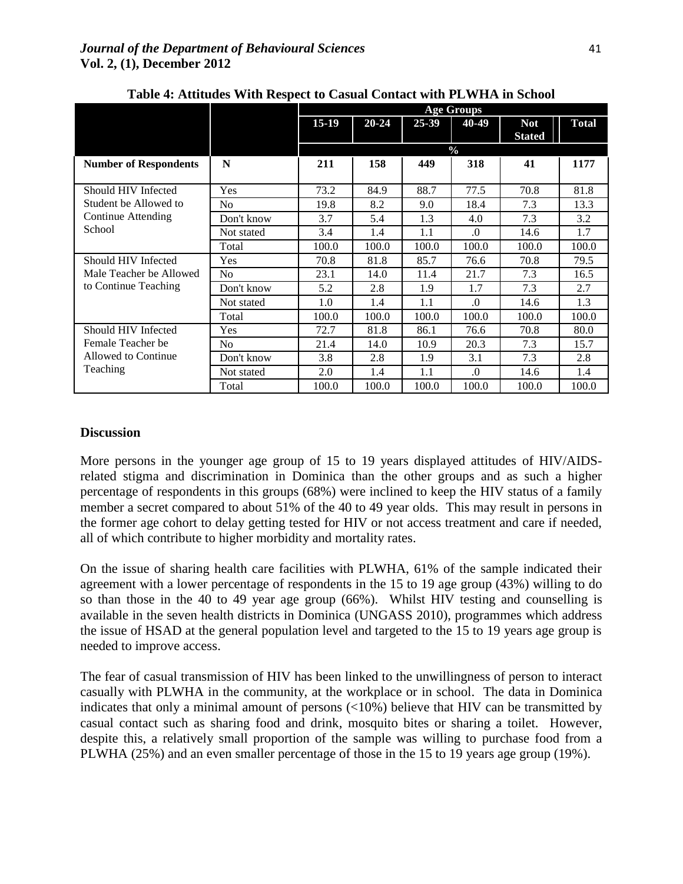|                                                                             |                | <b>Age Groups</b> |           |           |               |                             |              |  |
|-----------------------------------------------------------------------------|----------------|-------------------|-----------|-----------|---------------|-----------------------------|--------------|--|
|                                                                             |                | $15-19$           | $20 - 24$ | $25 - 39$ | 40-49         | <b>Not</b><br><b>Stated</b> | <b>Total</b> |  |
|                                                                             |                |                   |           |           | $\frac{0}{0}$ |                             |              |  |
| <b>Number of Respondents</b>                                                | N              | 211               | 158       | 449       | 318           | 41                          | 1177         |  |
|                                                                             |                |                   |           |           |               |                             |              |  |
| Should HIV Infected                                                         | Yes            | 73.2              | 84.9      | 88.7      | 77.5          | 70.8                        | 81.8         |  |
| Student be Allowed to                                                       | N <sub>o</sub> | 19.8              | 8.2       | 9.0       | 18.4          | 7.3                         | 13.3         |  |
| Continue Attending                                                          | Don't know     | 3.7               | 5.4       | 1.3       | 4.0           | 7.3                         | 3.2          |  |
| School                                                                      | Not stated     | 3.4               | 1.4       | 1.1       | $\Omega$      | 14.6                        | 1.7          |  |
|                                                                             | Total          | 100.0             | 100.0     | 100.0     | 100.0         | 100.0                       | 100.0        |  |
| Should HIV Infected<br>Male Teacher be Allowed<br>to Continue Teaching      | Yes            | 70.8              | 81.8      | 85.7      | 76.6          | 70.8                        | 79.5         |  |
|                                                                             | N <sub>o</sub> | 23.1              | 14.0      | 11.4      | 21.7          | 7.3                         | 16.5         |  |
|                                                                             | Don't know     | 5.2               | 2.8       | 1.9       | 1.7           | 7.3                         | 2.7          |  |
|                                                                             | Not stated     | 1.0               | 1.4       | 1.1       | $\Omega$      | 14.6                        | 1.3          |  |
|                                                                             | Total          | 100.0             | 100.0     | 100.0     | 100.0         | 100.0                       | 100.0        |  |
| Should HIV Infected<br>Female Teacher be<br>Allowed to Continue<br>Teaching | Yes            | 72.7              | 81.8      | 86.1      | 76.6          | 70.8                        | 80.0         |  |
|                                                                             | No             | 21.4              | 14.0      | 10.9      | 20.3          | 7.3                         | 15.7         |  |
|                                                                             | Don't know     | 3.8               | 2.8       | 1.9       | 3.1           | 7.3                         | 2.8          |  |
|                                                                             | Not stated     | 2.0               | 1.4       | 1.1       | $\Omega$ .    | 14.6                        | 1.4          |  |
|                                                                             | Total          | 100.0             | 100.0     | 100.0     | 100.0         | 100.0                       | 100.0        |  |

**Table 4: Attitudes With Respect to Casual Contact with PLWHA in School**

#### **Discussion**

More persons in the younger age group of 15 to 19 years displayed attitudes of HIV/AIDSrelated stigma and discrimination in Dominica than the other groups and as such a higher percentage of respondents in this groups (68%) were inclined to keep the HIV status of a family member a secret compared to about 51% of the 40 to 49 year olds. This may result in persons in the former age cohort to delay getting tested for HIV or not access treatment and care if needed, all of which contribute to higher morbidity and mortality rates.

On the issue of sharing health care facilities with PLWHA, 61% of the sample indicated their agreement with a lower percentage of respondents in the 15 to 19 age group (43%) willing to do so than those in the 40 to 49 year age group (66%). Whilst HIV testing and counselling is available in the seven health districts in Dominica (UNGASS 2010), programmes which address the issue of HSAD at the general population level and targeted to the 15 to 19 years age group is needed to improve access.

The fear of casual transmission of HIV has been linked to the unwillingness of person to interact casually with PLWHA in the community, at the workplace or in school. The data in Dominica indicates that only a minimal amount of persons (<10%) believe that HIV can be transmitted by casual contact such as sharing food and drink, mosquito bites or sharing a toilet. However, despite this, a relatively small proportion of the sample was willing to purchase food from a PLWHA (25%) and an even smaller percentage of those in the 15 to 19 years age group (19%).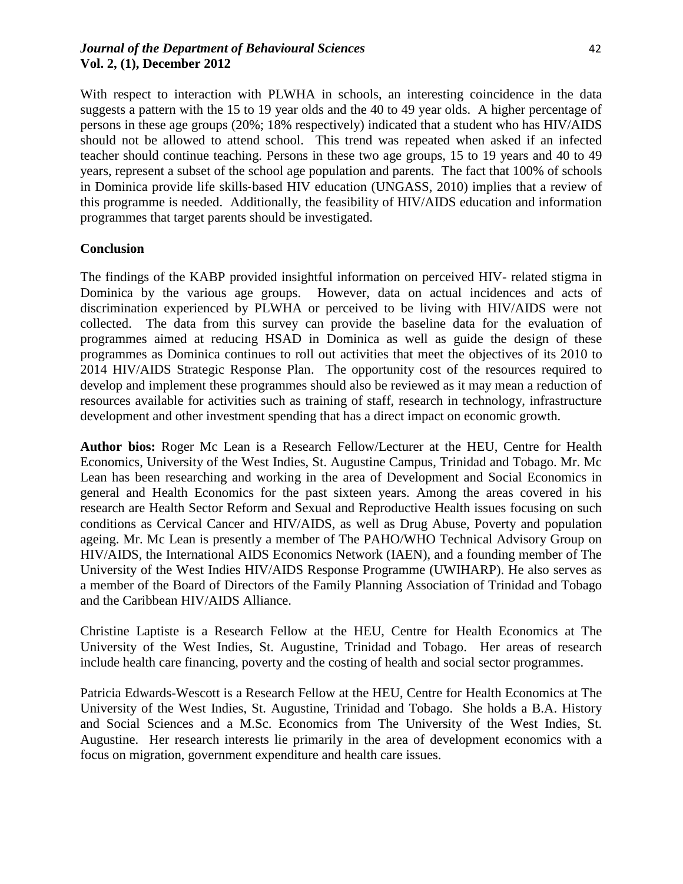# *Journal of the Department of Behavioural Sciences* 42 **Vol. 2, (1), December 2012**

With respect to interaction with PLWHA in schools, an interesting coincidence in the data suggests a pattern with the 15 to 19 year olds and the 40 to 49 year olds. A higher percentage of persons in these age groups (20%; 18% respectively) indicated that a student who has HIV/AIDS should not be allowed to attend school. This trend was repeated when asked if an infected teacher should continue teaching. Persons in these two age groups, 15 to 19 years and 40 to 49 years, represent a subset of the school age population and parents. The fact that 100% of schools in Dominica provide life skills‐based HIV education (UNGASS, 2010) implies that a review of this programme is needed. Additionally, the feasibility of HIV/AIDS education and information programmes that target parents should be investigated.

## **Conclusion**

The findings of the KABP provided insightful information on perceived HIV- related stigma in Dominica by the various age groups. However, data on actual incidences and acts of discrimination experienced by PLWHA or perceived to be living with HIV/AIDS were not collected. The data from this survey can provide the baseline data for the evaluation of programmes aimed at reducing HSAD in Dominica as well as guide the design of these programmes as Dominica continues to roll out activities that meet the objectives of its 2010 to 2014 HIV/AIDS Strategic Response Plan. The opportunity cost of the resources required to develop and implement these programmes should also be reviewed as it may mean a reduction of resources available for activities such as training of staff, research in technology, infrastructure development and other investment spending that has a direct impact on economic growth.

**Author bios:** Roger Mc Lean is a Research Fellow/Lecturer at the HEU, Centre for Health Economics, University of the West Indies, St. Augustine Campus, Trinidad and Tobago. Mr. Mc Lean has been researching and working in the area of Development and Social Economics in general and Health Economics for the past sixteen years. Among the areas covered in his research are Health Sector Reform and Sexual and Reproductive Health issues focusing on such conditions as Cervical Cancer and HIV/AIDS, as well as Drug Abuse, Poverty and population ageing. Mr. Mc Lean is presently a member of The PAHO/WHO Technical Advisory Group on HIV/AIDS, the International AIDS Economics Network (IAEN), and a founding member of The University of the West Indies HIV/AIDS Response Programme (UWIHARP). He also serves as a member of the Board of Directors of the Family Planning Association of Trinidad and Tobago and the Caribbean HIV/AIDS Alliance.

Christine Laptiste is a Research Fellow at the HEU, Centre for Health Economics at The University of the West Indies, St. Augustine, Trinidad and Tobago. Her areas of research include health care financing, poverty and the costing of health and social sector programmes.

Patricia Edwards-Wescott is a Research Fellow at the HEU, Centre for Health Economics at The University of the West Indies, St. Augustine, Trinidad and Tobago. She holds a B.A. History and Social Sciences and a M.Sc. Economics from The University of the West Indies, St. Augustine. Her research interests lie primarily in the area of development economics with a focus on migration, government expenditure and health care issues.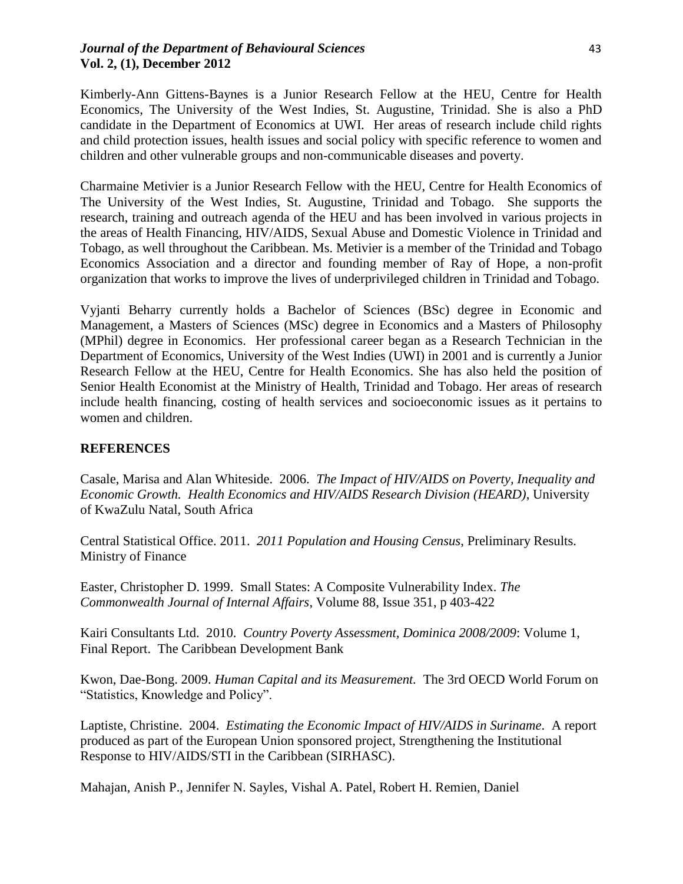# *Journal of the Department of Behavioural Sciences* 43 **Vol. 2, (1), December 2012**

Kimberly-Ann Gittens-Baynes is a Junior Research Fellow at the HEU, Centre for Health Economics, The University of the West Indies, St. Augustine, Trinidad. She is also a PhD candidate in the Department of Economics at UWI. Her areas of research include child rights and child protection issues, health issues and social policy with specific reference to women and children and other vulnerable groups and non-communicable diseases and poverty.

Charmaine Metivier is a Junior Research Fellow with the HEU, Centre for Health Economics of The University of the West Indies, St. Augustine, Trinidad and Tobago. She supports the research, training and outreach agenda of the HEU and has been involved in various projects in the areas of Health Financing, HIV/AIDS, Sexual Abuse and Domestic Violence in Trinidad and Tobago, as well throughout the Caribbean. Ms. Metivier is a member of the Trinidad and Tobago Economics Association and a director and founding member of Ray of Hope, a non-profit organization that works to improve the lives of underprivileged children in Trinidad and Tobago.

Vyjanti Beharry currently holds a Bachelor of Sciences (BSc) degree in Economic and Management, a Masters of Sciences (MSc) degree in Economics and a Masters of Philosophy (MPhil) degree in Economics. Her professional career began as a Research Technician in the Department of Economics, University of the West Indies (UWI) in 2001 and is currently a Junior Research Fellow at the HEU, Centre for Health Economics. She has also held the position of Senior Health Economist at the Ministry of Health, Trinidad and Tobago. Her areas of research include health financing, costing of health services and socioeconomic issues as it pertains to women and children.

# **REFERENCES**

Casale, Marisa and Alan Whiteside. 2006. *The Impact of HIV/AIDS on Poverty, Inequality and Economic Growth. Health Economics and HIV/AIDS Research Division (HEARD)*, University of KwaZulu Natal, South Africa

Central Statistical Office. 2011. *2011 Population and Housing Census*, Preliminary Results. Ministry of Finance

Easter, Christopher D. 1999. [Small States: A Composite Vulnerability Index.](http://wbln0018.worldbank.org/external/lac/lac.nsf/c3473659f307761e852567ec0054ee1b/629bfda942b112e2852567fc00530409?OpenDocument) *The Commonwealth Journal of Internal Affairs*, Volume 88, Issue 351, p 403-422

Kairi Consultants Ltd. 2010. *Country Poverty Assessment, Dominica 2008/2009*: Volume 1, Final Report. The Caribbean Development Bank

Kwon, Dae-Bong. 2009. *Human Capital and its Measurement.* The 3rd OECD World Forum on "Statistics, Knowledge and Policy".

Laptiste, Christine. 2004. *Estimating the Economic Impact of HIV/AIDS in Suriname*. A report produced as part of the European Union sponsored project, Strengthening the Institutional Response to HIV/AIDS/STI in the Caribbean (SIRHASC).

Mahajan, Anish P., Jennifer N. Sayles, Vishal A. Patel, Robert H. Remien, Daniel